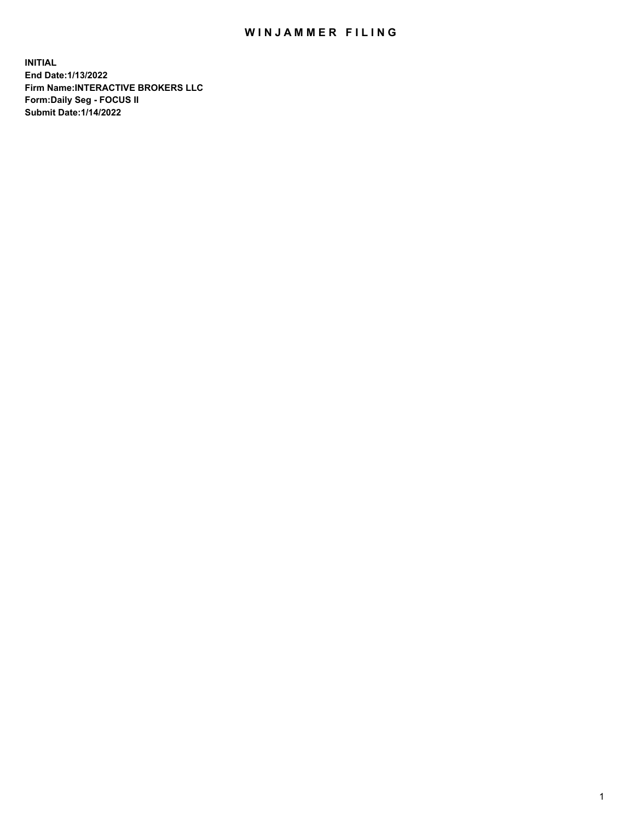## WIN JAMMER FILING

**INITIAL End Date:1/13/2022 Firm Name:INTERACTIVE BROKERS LLC Form:Daily Seg - FOCUS II Submit Date:1/14/2022**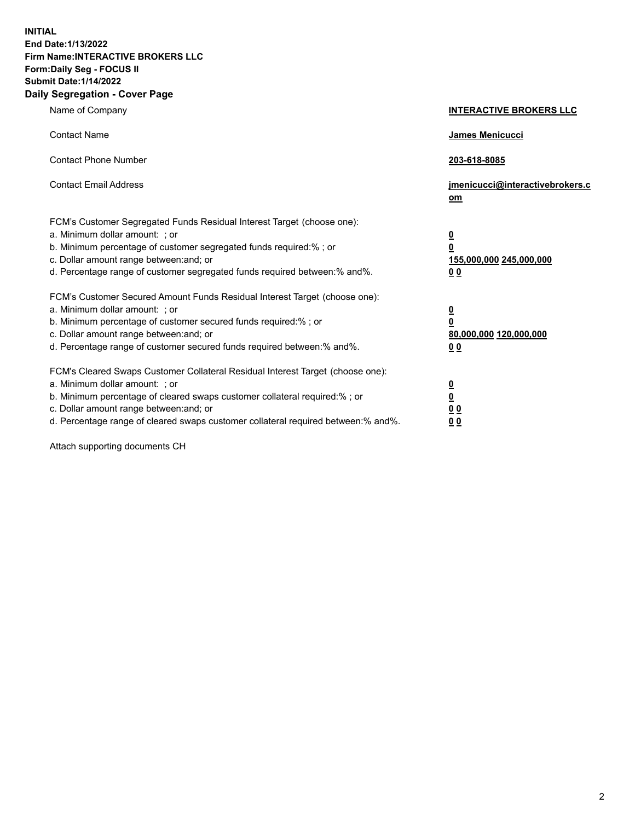**INITIAL End Date:1/13/2022 Firm Name:INTERACTIVE BROKERS LLC Form:Daily Seg - FOCUS II Submit Date:1/14/2022 Daily Segregation - Cover Page**

| Name of Company                                                                                                                                                                                                                                                                                                               | <b>INTERACTIVE BROKERS LLC</b>                                                                  |  |
|-------------------------------------------------------------------------------------------------------------------------------------------------------------------------------------------------------------------------------------------------------------------------------------------------------------------------------|-------------------------------------------------------------------------------------------------|--|
| <b>Contact Name</b>                                                                                                                                                                                                                                                                                                           | James Menicucci                                                                                 |  |
| <b>Contact Phone Number</b>                                                                                                                                                                                                                                                                                                   | 203-618-8085                                                                                    |  |
| <b>Contact Email Address</b>                                                                                                                                                                                                                                                                                                  | jmenicucci@interactivebrokers.c<br><u>om</u>                                                    |  |
| FCM's Customer Segregated Funds Residual Interest Target (choose one):<br>a. Minimum dollar amount: ; or<br>b. Minimum percentage of customer segregated funds required:% ; or<br>c. Dollar amount range between: and; or<br>d. Percentage range of customer segregated funds required between:% and%.                        | $\overline{\mathbf{0}}$<br>$\overline{\mathbf{0}}$<br>155,000,000 245,000,000<br>0 <sub>0</sub> |  |
| FCM's Customer Secured Amount Funds Residual Interest Target (choose one):<br>a. Minimum dollar amount: ; or<br>b. Minimum percentage of customer secured funds required:%; or<br>c. Dollar amount range between: and; or<br>d. Percentage range of customer secured funds required between:% and%.                           | $\overline{\mathbf{0}}$<br>$\overline{\mathbf{0}}$<br>80,000,000 120,000,000<br>0 <sub>0</sub>  |  |
| FCM's Cleared Swaps Customer Collateral Residual Interest Target (choose one):<br>a. Minimum dollar amount: ; or<br>b. Minimum percentage of cleared swaps customer collateral required:%; or<br>c. Dollar amount range between: and; or<br>d. Percentage range of cleared swaps customer collateral required between:% and%. | $\overline{\mathbf{0}}$<br>$\overline{\mathbf{0}}$<br>0 <sub>0</sub><br>0 <sub>0</sub>          |  |

Attach supporting documents CH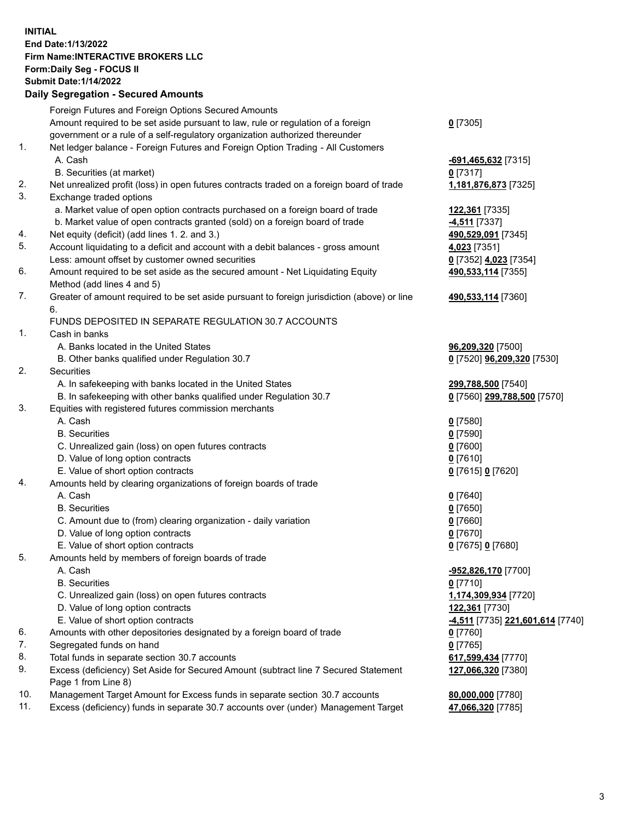**INITIAL End Date:1/13/2022 Firm Name:INTERACTIVE BROKERS LLC Form:Daily Seg - FOCUS II Submit Date:1/14/2022 Daily Segregation - Secured Amounts**

## Foreign Futures and Foreign Options Secured Amounts Amount required to be set aside pursuant to law, rule or regulation of a foreign government or a rule of a self-regulatory organization authorized thereunder **0** [7305] 1. Net ledger balance - Foreign Futures and Foreign Option Trading - All Customers A. Cash **-691,465,632** [7315] B. Securities (at market) **0** [7317] 2. Net unrealized profit (loss) in open futures contracts traded on a foreign board of trade **1,181,876,873** [7325] 3. Exchange traded options a. Market value of open option contracts purchased on a foreign board of trade **122,361** [7335] b. Market value of open contracts granted (sold) on a foreign board of trade **-4,511** [7337] 4. Net equity (deficit) (add lines 1. 2. and 3.) **490,529,091** [7345] 5. Account liquidating to a deficit and account with a debit balances - gross amount **4,023** [7351] Less: amount offset by customer owned securities **0** [7352] **4,023** [7354] 6. Amount required to be set aside as the secured amount - Net Liquidating Equity Method (add lines 4 and 5) **490,533,114** [7355] 7. Greater of amount required to be set aside pursuant to foreign jurisdiction (above) or line 6. **490,533,114** [7360] FUNDS DEPOSITED IN SEPARATE REGULATION 30.7 ACCOUNTS 1. Cash in banks A. Banks located in the United States **96,209,320** [7500] B. Other banks qualified under Regulation 30.7 **0** [7520] **96,209,320** [7530] 2. Securities A. In safekeeping with banks located in the United States **299,788,500** [7540] B. In safekeeping with other banks qualified under Regulation 30.7 **0** [7560] **299,788,500** [7570] 3. Equities with registered futures commission merchants A. Cash **0** [7580] B. Securities **0** [7590] C. Unrealized gain (loss) on open futures contracts **0** [7600] D. Value of long option contracts **0** [7610] E. Value of short option contracts **0** [7615] **0** [7620] 4. Amounts held by clearing organizations of foreign boards of trade A. Cash **0** [7640] B. Securities **0** [7650] C. Amount due to (from) clearing organization - daily variation **0** [7660] D. Value of long option contracts **0** [7670] E. Value of short option contracts **0** [7675] **0** [7680] 5. Amounts held by members of foreign boards of trade A. Cash **-952,826,170** [7700] B. Securities **0** [7710] C. Unrealized gain (loss) on open futures contracts **1,174,309,934** [7720] D. Value of long option contracts **122,361** [7730] E. Value of short option contracts **-4,511** [7735] **221,601,614** [7740] 6. Amounts with other depositories designated by a foreign board of trade **0** [7760] 7. Segregated funds on hand **0** [7765] 8. Total funds in separate section 30.7 accounts **617,599,434** [7770] 9. Excess (deficiency) Set Aside for Secured Amount (subtract line 7 Secured Statement Page 1 from Line 8) **127,066,320** [7380] 10. Management Target Amount for Excess funds in separate section 30.7 accounts **80,000,000** [7780] 11. Excess (deficiency) funds in separate 30.7 accounts over (under) Management Target **47,066,320** [7785]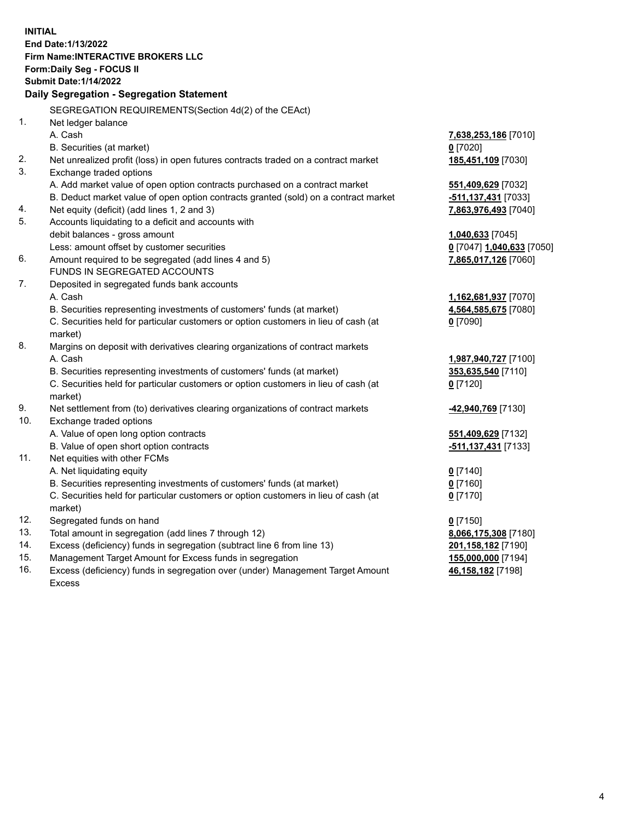**INITIAL End Date:1/13/2022 Firm Name:INTERACTIVE BROKERS LLC Form:Daily Seg - FOCUS II Submit Date:1/14/2022 Daily Segregation - Segregation Statement** SEGREGATION REQUIREMENTS(Section 4d(2) of the CEAct) 1. Net ledger balance A. Cash **7,638,253,186** [7010] B. Securities (at market) **0** [7020] 2. Net unrealized profit (loss) in open futures contracts traded on a contract market **185,451,109** [7030] 3. Exchange traded options A. Add market value of open option contracts purchased on a contract market **551,409,629** [7032] B. Deduct market value of open option contracts granted (sold) on a contract market **-511,137,431** [7033] 4. Net equity (deficit) (add lines 1, 2 and 3) **7,863,976,493** [7040] 5. Accounts liquidating to a deficit and accounts with debit balances - gross amount **1,040,633** [7045] Less: amount offset by customer securities **0** [7047] **1,040,633** [7050] 6. Amount required to be segregated (add lines 4 and 5) **7,865,017,126** [7060] FUNDS IN SEGREGATED ACCOUNTS 7. Deposited in segregated funds bank accounts A. Cash **1,162,681,937** [7070] B. Securities representing investments of customers' funds (at market) **4,564,585,675** [7080] C. Securities held for particular customers or option customers in lieu of cash (at market) **0** [7090] 8. Margins on deposit with derivatives clearing organizations of contract markets A. Cash **1,987,940,727** [7100] B. Securities representing investments of customers' funds (at market) **353,635,540** [7110] C. Securities held for particular customers or option customers in lieu of cash (at market) **0** [7120] 9. Net settlement from (to) derivatives clearing organizations of contract markets **-42,940,769** [7130] 10. Exchange traded options A. Value of open long option contracts **551,409,629** [7132] B. Value of open short option contracts **-511,137,431** [7133] 11. Net equities with other FCMs A. Net liquidating equity **0** [7140] B. Securities representing investments of customers' funds (at market) **0** [7160] C. Securities held for particular customers or option customers in lieu of cash (at market) **0** [7170] 12. Segregated funds on hand **0** [7150] 13. Total amount in segregation (add lines 7 through 12) **8,066,175,308** [7180] 14. Excess (deficiency) funds in segregation (subtract line 6 from line 13) **201,158,182** [7190] 15. Management Target Amount for Excess funds in segregation **155,000,000** [7194] 16. Excess (deficiency) funds in segregation over (under) Management Target Amount Excess **46,158,182** [7198]